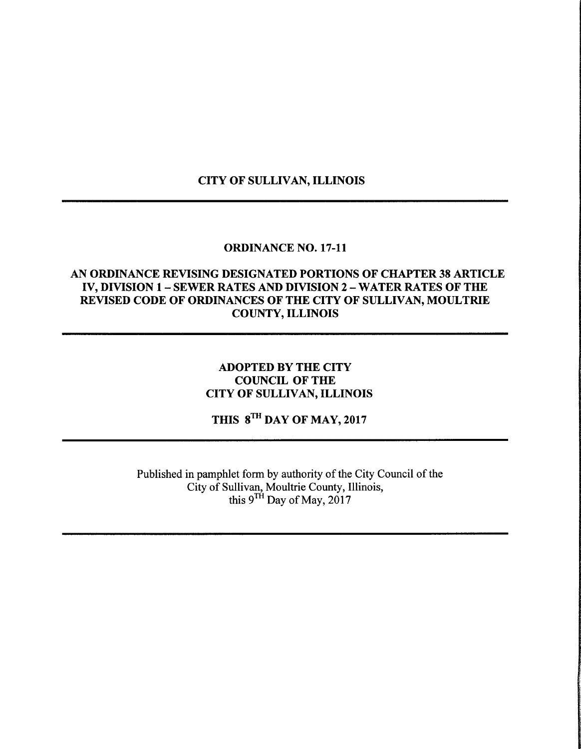# CITY OF SULLIVAN, ILLINOIS

#### ORDINANCE NO. 17-11

### AN ORDINANCE REVISING DESIGNATED PORTIONS OF CHAPTER 38 ARTICLE IV, DIVISION 1 — SEWER RATES AND DIVISION 2— WATER RATES OF THE REVISED CODE OF ORDINANCES OF THE CITY OF SULLIVAN, MOULTRIE COUNTY, ILLINOIS

# ADOPTED BY THE CITY COUNCIL OF THE CITY OF SULLIVAN, ILLINOIS

THIS 8<sup>TH</sup> DAY OF MAY, 2017

Published in pamphlet form by authority of the City Council of the City of Sullivan, Moultrie County, Illinois, this  $9^{TH}$  Day of May, 2017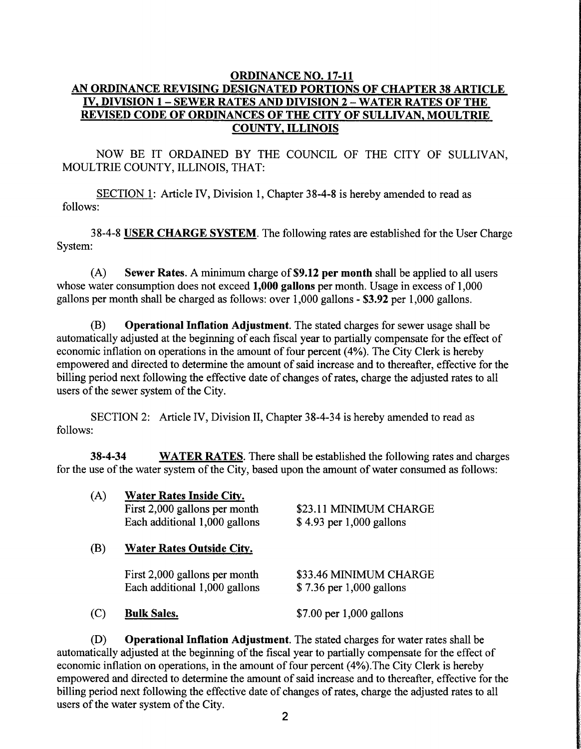### ORDINANCE NO. 17-11 AN ORDINANCE REVISING DESIGNATED PORTIONS OF CHAPTER 38 ARTICLE IV, DIVISION 1 — SEWER RATES AND DIVISION 2— WATER RATES OF THE REVISED CODE OF ORDINANCES OF THE CITY OF SULLIVAN, MOULTRIE COUNTY, ILLINOIS

NOW BE IT ORDAINED BY THE COUNCIL OF THE CITY OF SULLIVAN, MOULTRIE COUNTY, ILLINOIS, THAT:

SECTION 1: Article IV, Division 1, Chapter 38-4-8 is hereby amended to read as follows:

38-4-8 USER CHARGE SYSTEM. The following rates are established for the User Charge System:

 $(A)$  Sewer Rates. A minimum charge of \$9.12 per month shall be applied to all users whose water consumption does not exceed 1,000 gallons per month. Usage in excess of 1,000 gallons per month shall be charged as follows: over 1, 000 gallons - \$3. 92 per 1, 000 gallons.

B) Operational Inflation Adjustment. The stated charges for sewer usage shall be automatically adjusted at the beginning of each fiscal year to partially compensate for the effect of economic inflation on operations in the amount of four percent( 4%). The City Clerk is hereby empowered and directed to determine the amount of said increase and to thereafter, effective for the billing period next following the effective date of changes of rates, charge the adjusted rates to all users of the sewer system of the City.

SECTION 2: Article IV, Division II, Chapter 38-4-34 is hereby amended to read as follows:

**38-4-34** WATER RATES. There shall be established the following rates and charges for the use of the water system of the City, based upon the amount of water consumed as follows:

| (A) | <b>Water Rates Inside City.</b><br>First 2,000 gallons per month<br>Each additional 1,000 gallons | \$23.11 MINIMUM CHARGE<br>\$4.93 per 1,000 gallons |  |  |  |
|-----|---------------------------------------------------------------------------------------------------|----------------------------------------------------|--|--|--|
| (B) | <b>Water Rates Outside City.</b>                                                                  |                                                    |  |  |  |
|     | First 2,000 gallons per month<br>Each additional 1,000 gallons                                    | \$33.46 MINIMUM CHARGE<br>\$7.36 per 1,000 gallons |  |  |  |
| (C) | <b>Bulk Sales.</b>                                                                                | $$7.00$ per 1,000 gallons                          |  |  |  |

D) Operational Inflation Adjustment. The stated charges for water rates shall be automatically adjusted at the beginning of the fiscal year to partially compensate for the effect of economic inflation on operations, in the amount of four percent( 4%). The City Clerk is hereby empowered and directed to determine the amount of said increase and to thereafter, effective for the billing period next following the effective date of changes of rates, charge the adjusted rates to all users of the water system of the City.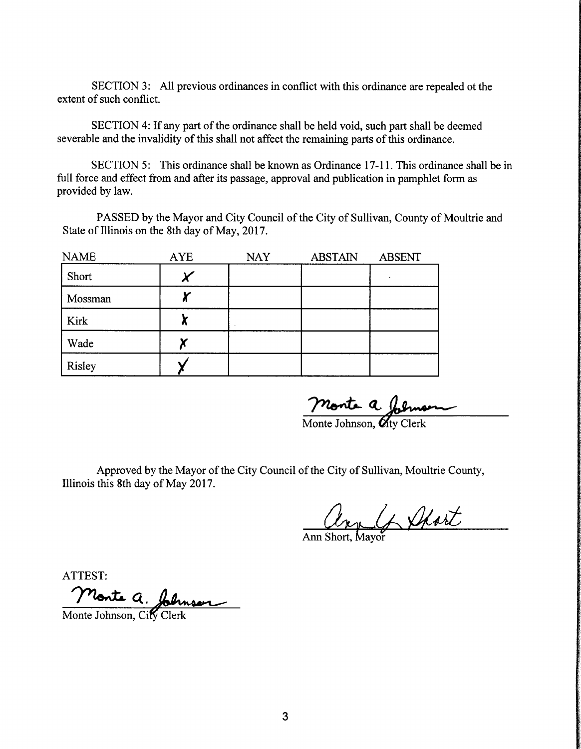SECTION 3: All previous ordinances in conflict with this ordinance are repealed of the extent of such conflict.

SECTION 4: If any part of the ordinance shall be held void, such part shall be deemed severable and the invalidity of this shall not affect the remaining parts of this ordinance.

SECTION 5: This ordinance shall be known as Ordinance 17-11. This ordinance shall be in full force and effect from and after its passage, approval and publication in pamphlet form as provided by law.

PASSED by the Mayor and City Council of the City of Sullivan, County of Moultrie and State of Illinois on the 8th day of May, 2017.

| <b>NAME</b> | <b>AYE</b> | <b>NAY</b> | <b>ABSTAIN</b> | <b>ABSENT</b> |
|-------------|------------|------------|----------------|---------------|
| Short       |            |            |                |               |
| Mossman     | П.         |            |                |               |
| Kirk        | .,         |            |                |               |
| Wade        |            |            |                |               |
| Risley      |            |            |                |               |

Monte a. John<br>Monte Johnson, Oty Cle

Approved by the Mayor of the City Council of the City of Sullivan, Moultrie County, Illinois this 8th day of May 2017.

Lan G Short

ATTEST:

Monte a. Johnson